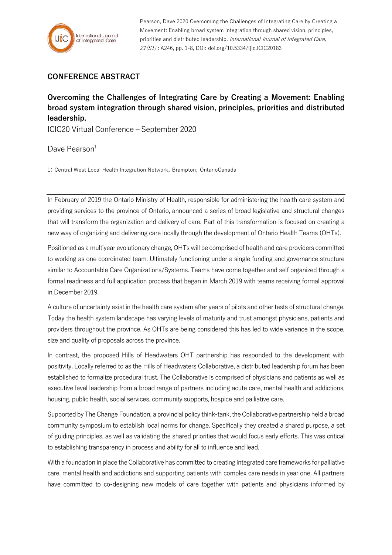

Pearson, Dave 2020 Overcoming the Challenges of Integrating Care by Creating a Movement: Enabling broad system integration through shared vision, principles, priorities and distributed leadership. International Journal of Integrated Care, 21(S1) : A246, pp. 1-8, DOI: doi.org/10.5334/ijic.ICIC20183

## **CONFERENCE ABSTRACT**

**Overcoming the Challenges of Integrating Care by Creating a Movement: Enabling broad system integration through shared vision, principles, priorities and distributed leadership.**

ICIC20 Virtual Conference – September 2020

Dave Pearson<sup>1</sup>

1: Central West Local Health Integration Network, Brampton, OntarioCanada

In February of 2019 the Ontario Ministry of Health, responsible for administering the health care system and providing services to the province of Ontario, announced a series of broad legislative and structural changes that will transform the organization and delivery of care. Part of this transformation is focused on creating a new way of organizing and delivering care locally through the development of Ontario Health Teams (OHTs).

Positioned as a multiyear evolutionary change, OHTs will be comprised of health and care providers committed to working as one coordinated team. Ultimately functioning under a single funding and governance structure similar to Accountable Care Organizations/Systems. Teams have come together and self organized through a formal readiness and full application process that began in March 2019 with teams receiving formal approval in December 2019.

A culture of uncertainty exist in the health care system after years of pilots and other tests of structural change. Today the health system landscape has varying levels of maturity and trust amongst physicians, patients and providers throughout the province. As OHTs are being considered this has led to wide variance in the scope, size and quality of proposals across the province.

In contrast, the proposed Hills of Headwaters OHT partnership has responded to the development with positivity. Locally referred to as the Hills of Headwaters Collaborative, a distributed leadership forum has been established to formalize procedural trust. The Collaborative is comprised of physicians and patients as well as executive level leadership from a broad range of partners including acute care, mental health and addictions, housing, public health, social services, community supports, hospice and palliative care.

Supported by The Change Foundation, a provincial policy think-tank, the Collaborative partnership held a broad community symposium to establish local norms for change. Specifically they created a shared purpose, a set of guiding principles, as well as validating the shared priorities that would focus early efforts. This was critical to establishing transparency in process and ability for all to influence and lead.

With a foundation in place the Collaborative has committed to creating integrated care frameworks for palliative care, mental health and addictions and supporting patients with complex care needs in year one. All partners have committed to co-designing new models of care together with patients and physicians informed by